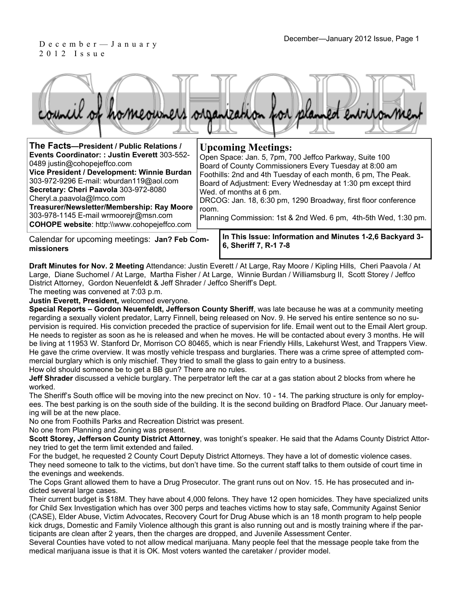#### December—January 2012 Issue, Page 1<br>December—January 2012 Issue, Page 1 2012 Issue

| The Facts-President / Public Relations /<br>Events Coordinator: : Justin Everett 303-552-<br>0489 justin@cohopejeffco.com<br>Vice President / Development: Winnie Burdan<br>303-972-9296 E-mail: wburdan119@aol.com<br>Secretary: Cheri Paavola 303-972-8080<br>Cheryl.a.paavola@Imco.com<br>Treasurer/Newsletter/Membership: Ray Moore<br>303-978-1145 E-mail wrmoorejr@msn.com<br>COHOPE website: http://www.cohopejeffco.com | room. | <b>Upcoming Meetings:</b><br>Open Space: Jan. 5, 7pm, 700 Jeffco Parkway, Suite 100<br>Board of County Commissioners Every Tuesday at 8:00 am<br>Foothills: 2nd and 4th Tuesday of each month, 6 pm, The Peak.<br>Board of Adjustment: Every Wednesday at 1:30 pm except third<br>Wed. of months at 6 pm.<br>DRCOG: Jan. 18, 6:30 pm, 1290 Broadway, first floor conference<br>Planning Commission: 1st & 2nd Wed. 6 pm, 4th-5th Wed, 1:30 pm. |
|---------------------------------------------------------------------------------------------------------------------------------------------------------------------------------------------------------------------------------------------------------------------------------------------------------------------------------------------------------------------------------------------------------------------------------|-------|------------------------------------------------------------------------------------------------------------------------------------------------------------------------------------------------------------------------------------------------------------------------------------------------------------------------------------------------------------------------------------------------------------------------------------------------|
| Calendar for upcoming meetings: Jan? Feb Com-                                                                                                                                                                                                                                                                                                                                                                                   |       | In This Issue: Information and Minutes 1-2,6 Backyard 3-                                                                                                                                                                                                                                                                                                                                                                                       |

**6, Sheriff 7, R-1 7-8 missioners Draft Minutes for Nov. 2 Meeting** Attendance: Justin Everett / At Large, Ray Moore / Kipling Hills, Cheri Paavola / At

Large, Diane Suchomel / At Large, Martha Fisher / At Large, Winnie Burdan / Williamsburg II, Scott Storey / Jeffco District Attorney, Gordon Neuenfeldt & Jeff Shrader / Jeffco Sheriff's Dept.

The meeting was convened at 7:03 p.m.

**Justin Everett, President,** welcomed everyone.

**Special Reports – Gordon Neuenfeldt, Jefferson County Sheriff**, was late because he was at a community meeting regarding a sexually violent predator, Larry Finnell, being released on Nov. 9. He served his entire sentence so no supervision is required. His conviction preceded the practice of supervision for life. Email went out to the Email Alert group. He needs to register as soon as he is released and when he moves. He will be contacted about every 3 months. He will be living at 11953 W. Stanford Dr, Morrison CO 80465, which is near Friendly Hills, Lakehurst West, and Trappers View. He gave the crime overview. It was mostly vehicle trespass and burglaries. There was a crime spree of attempted commercial burglary which is only mischief. They tried to small the glass to gain entry to a business.

How old should someone be to get a BB gun? There are no rules.

**Jeff Shrader** discussed a vehicle burglary. The perpetrator left the car at a gas station about 2 blocks from where he worked.

The Sheriff's South office will be moving into the new precinct on Nov. 10 - 14. The parking structure is only for employees. The best parking is on the south side of the building. It is the second building on Bradford Place. Our January meeting will be at the new place.

No one from Foothills Parks and Recreation District was present.

No one from Planning and Zoning was present.

**Scott Storey, Jefferson County District Attorney**, was tonight's speaker. He said that the Adams County District Attorney tried to get the term limit extended and failed.

For the budget, he requested 2 County Court Deputy District Attorneys. They have a lot of domestic violence cases. They need someone to talk to the victims, but don't have time. So the current staff talks to them outside of court time in the evenings and weekends.

The Cops Grant allowed them to have a Drug Prosecutor. The grant runs out on Nov. 15. He has prosecuted and indicted several large cases.

Their current budget is \$18M. They have about 4,000 felons. They have 12 open homicides. They have specialized units for Child Sex Investigation which has over 300 perps and teaches victims how to stay safe, Community Against Senior (CASE), Elder Abuse, Victim Advocates, Recovery Court for Drug Abuse which is an 18 month program to help people kick drugs, Domestic and Family Violence although this grant is also running out and is mostly training where if the participants are clean after 2 years, then the charges are dropped, and Juvenile Assessment Center.

Several Counties have voted to not allow medical marijuana. Many people feel that the message people take from the medical marijuana issue is that it is OK. Most voters wanted the caretaker / provider model.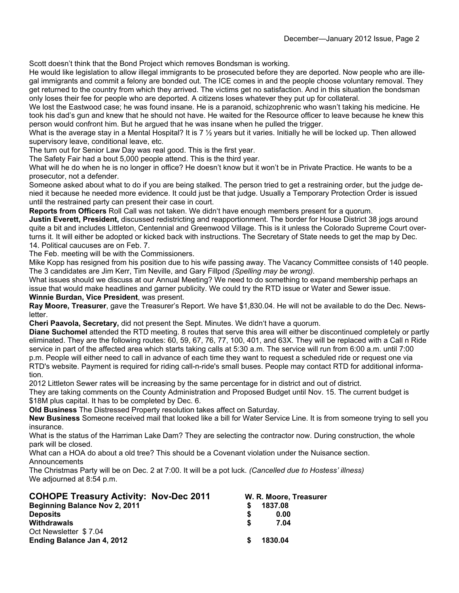Scott doesn't think that the Bond Project which removes Bondsman is working.

He would like legislation to allow illegal immigrants to be prosecuted before they are deported. Now people who are illegal immigrants and commit a felony are bonded out. The ICE comes in and the people choose voluntary removal. They get returned to the country from which they arrived. The victims get no satisfaction. And in this situation the bondsman only loses their fee for people who are deported. A citizens loses whatever they put up for collateral.

We lost the Eastwood case; he was found insane. He is a paranoid, schizophrenic who wasn't taking his medicine. He took his dad's gun and knew that he should not have. He waited for the Resource officer to leave because he knew this person would confront him. But he argued that he was insane when he pulled the trigger.

What is the average stay in a Mental Hospital? It is 7 ½ years but it varies. Initially he will be locked up. Then allowed supervisory leave, conditional leave, etc.

The turn out for Senior Law Day was real good. This is the first year.

The Safety Fair had a bout 5,000 people attend. This is the third year.

What will he do when he is no longer in office? He doesn't know but it won't be in Private Practice. He wants to be a prosecutor, not a defender.

Someone asked about what to do if you are being stalked. The person tried to get a restraining order, but the judge denied it because he needed more evidence. It could just be that judge. Usually a Temporary Protection Order is issued until the restrained party can present their case in court.

**Reports from Officers** Roll Call was not taken. We didn't have enough members present for a quorum.

**Justin Everett, President,** discussed redistricting and reapportionment. The border for House District 38 jogs around quite a bit and includes Littleton, Centennial and Greenwood Village. This is it unless the Colorado Supreme Court overturns it. It will either be adopted or kicked back with instructions. The Secretary of State needs to get the map by Dec. 14. Political caucuses are on Feb. 7.

The Feb. meeting will be with the Commissioners.

Mike Kopp has resigned from his position due to his wife passing away. The Vacancy Committee consists of 140 people. The 3 candidates are Jim Kerr, Tim Neville, and Gary Fillpod *(Spelling may be wrong).*

What issues should we discuss at our Annual Meeting? We need to do something to expand membership perhaps an issue that would make headlines and garner publicity. We could try the RTD issue or Water and Sewer issue. **Winnie Burdan, Vice President**, was present.

**Ray Moore, Treasurer**, gave the Treasurer's Report. We have \$1,830.04. He will not be available to do the Dec. Newsletter.

**Cheri Paavola, Secretary,** did not present the Sept. Minutes. We didn't have a quorum.

**Diane Suchomel** attended the RTD meeting. 8 routes that serve this area will either be discontinued completely or partly eliminated. They are the following routes: 60, 59, 67, 76, 77, 100, 401, and 63X. They will be replaced with a Call n Ride service in part of the affected area which starts taking calls at 5:30 a.m. The service will run from 6:00 a.m. until 7:00 p.m. People will either need to call in advance of each time they want to request a scheduled ride or request one via RTD's website. Payment is required for riding call-n-ride's small buses. People may contact RTD for additional information.

2012 Littleton Sewer rates will be increasing by the same percentage for in district and out of district.

They are taking comments on the County Administration and Proposed Budget until Nov. 15. The current budget is \$18M plus capital. It has to be completed by Dec. 6.

**Old Business** The Distressed Property resolution takes affect on Saturday.

**New Business** Someone received mail that looked like a bill for Water Service Line. It is from someone trying to sell you insurance.

What is the status of the Harriman Lake Dam? They are selecting the contractor now. During construction, the whole park will be closed.

What can a HOA do about a old tree? This should be a Covenant violation under the Nuisance section. Announcements

The Christmas Party will be on Dec. 2 at 7:00. It will be a pot luck. *(Cancelled due to Hostess' illness)* We adjourned at 8:54 p.m.

| <b>COHOPE Treasury Activity: Nov-Dec 2011</b> |     | W. R. Moore, Treasurer |
|-----------------------------------------------|-----|------------------------|
| <b>Beginning Balance Nov 2, 2011</b>          |     | 1837.08                |
| <b>Deposits</b>                               |     | 0.00                   |
| Withdrawals                                   | S.  | 7.04                   |
| Oct Newsletter \$7.04                         |     |                        |
| Ending Balance Jan 4, 2012                    | \$. | 1830.04                |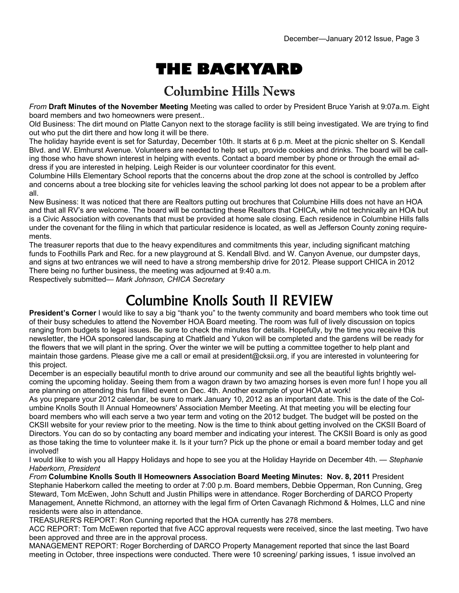# **THE BACKYARD**

### Columbine Hills News

*From* **Draft Minutes of the November Meeting** Meeting was called to order by President Bruce Yarish at 9:07a.m. Eight board members and two homeowners were present..

Old Business: The dirt mound on Platte Canyon next to the storage facility is still being investigated. We are trying to find out who put the dirt there and how long it will be there.

The holiday hayride event is set for Saturday, December 10th. It starts at 6 p.m. Meet at the picnic shelter on S. Kendall Blvd. and W. Elmhurst Avenue. Volunteers are needed to help set up, provide cookies and drinks. The board will be calling those who have shown interest in helping with events. Contact a board member by phone or through the email address if you are interested in helping. Leigh Reider is our volunteer coordinator for this event.

Columbine Hills Elementary School reports that the concerns about the drop zone at the school is controlled by Jeffco and concerns about a tree blocking site for vehicles leaving the school parking lot does not appear to be a problem after all.

New Business: It was noticed that there are Realtors putting out brochures that Columbine Hills does not have an HOA and that all RV's are welcome. The board will be contacting these Realtors that CHICA, while not technically an HOA but is a Civic Association with covenants that must be provided at home sale closing. Each residence in Columbine Hills falls under the covenant for the filing in which that particular residence is located, as well as Jefferson County zoning requirements.

The treasurer reports that due to the heavy expenditures and commitments this year, including significant matching funds to Foothills Park and Rec. for a new playground at S. Kendall Blvd. and W. Canyon Avenue, our dumpster days, and signs at two entrances we will need to have a strong membership drive for 2012. Please support CHICA in 2012 There being no further business, the meeting was adjourned at 9:40 a.m.

Respectively submitted— *Mark Johnson, CHICA Secretary*

# Columbine Knolls South II REVIEW

**President's Corner** I would like to say a big "thank you" to the twenty community and board members who took time out of their busy schedules to attend the November HOA Board meeting. The room was full of lively discussion on topics ranging from budgets to legal issues. Be sure to check the minutes for details. Hopefully, by the time you receive this newsletter, the HOA sponsored landscaping at Chatfield and Yukon will be completed and the gardens will be ready for the flowers that we will plant in the spring. Over the winter we will be putting a committee together to help plant and maintain those gardens. Please give me a call or email at president@cksii.org, if you are interested in volunteering for this project.

December is an especially beautiful month to drive around our community and see all the beautiful lights brightly welcoming the upcoming holiday. Seeing them from a wagon drawn by two amazing horses is even more fun! I hope you all are planning on attending this fun filled event on Dec. 4th. Another example of your HOA at work!

As you prepare your 2012 calendar, be sure to mark January 10, 2012 as an important date. This is the date of the Columbine Knolls South II Annual Homeowners' Association Member Meeting. At that meeting you will be electing four board members who will each serve a two year term and voting on the 2012 budget. The budget will be posted on the CKSII website for your review prior to the meeting. Now is the time to think about getting involved on the CKSII Board of Directors. You can do so by contacting any board member and indicating your interest. The CKSII Board is only as good as those taking the time to volunteer make it. Is it your turn? Pick up the phone or email a board member today and get involved!

I would like to wish you all Happy Holidays and hope to see you at the Holiday Hayride on December 4th. — *Stephanie Haberkorn, President*

*From* **Columbine Knolls South II Homeowners Association Board Meeting Minutes: Nov. 8, 2011** President Stephanie Haberkorn called the meeting to order at 7:00 p.m. Board members, Debbie Opperman, Ron Cunning, Greg Steward, Tom McEwen, John Schutt and Justin Phillips were in attendance. Roger Borcherding of DARCO Property Management, Annette Richmond, an attorney with the legal firm of Orten Cavanagh Richmond & Holmes, LLC and nine residents were also in attendance.

TREASURER'S REPORT: Ron Cunning reported that the HOA currently has 278 members.

ACC REPORT: Tom McEwen reported that five ACC approval requests were received, since the last meeting. Two have been approved and three are in the approval process.

MANAGEMENT REPORT: Roger Borcherding of DARCO Property Management reported that since the last Board meeting in October, three inspections were conducted. There were 10 screening/ parking issues, 1 issue involved an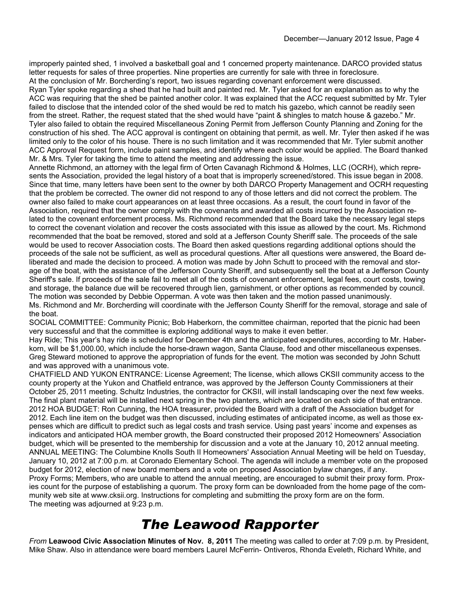improperly painted shed, 1 involved a basketball goal and 1 concerned property maintenance. DARCO provided status letter requests for sales of three properties. Nine properties are currently for sale with three in foreclosure. At the conclusion of Mr. Borcherding's report, two issues regarding covenant enforcement were discussed. Ryan Tyler spoke regarding a shed that he had built and painted red. Mr. Tyler asked for an explanation as to why the ACC was requiring that the shed be painted another color. It was explained that the ACC request submitted by Mr. Tyler failed to disclose that the intended color of the shed would be red to match his gazebo, which cannot be readily seen from the street. Rather, the request stated that the shed would have "paint & shingles to match house & gazebo." Mr. Tyler also failed to obtain the required Miscellaneous Zoning Permit from Jefferson County Planning and Zoning for the construction of his shed. The ACC approval is contingent on obtaining that permit, as well. Mr. Tyler then asked if he was limited only to the color of his house. There is no such limitation and it was recommended that Mr. Tyler submit another ACC Approval Request form, include paint samples, and identify where each color would be applied. The Board thanked Mr. & Mrs. Tyler for taking the time to attend the meeting and addressing the issue.

Annette Richmond, an attorney with the legal firm of Orten Cavanagh Richmond & Holmes, LLC (OCRH), which represents the Association, provided the legal history of a boat that is improperly screened/stored. This issue began in 2008. Since that time, many letters have been sent to the owner by both DARCO Property Management and OCRH requesting that the problem be corrected. The owner did not respond to any of those letters and did not correct the problem. The owner also failed to make court appearances on at least three occasions. As a result, the court found in favor of the Association, required that the owner comply with the covenants and awarded all costs incurred by the Association related to the covenant enforcement process. Ms. Richmond recommended that the Board take the necessary legal steps to correct the covenant violation and recover the costs associated with this issue as allowed by the court. Ms. Richmond recommended that the boat be removed, stored and sold at a Jefferson County Sheriff sale. The proceeds of the sale would be used to recover Association costs. The Board then asked questions regarding additional options should the proceeds of the sale not be sufficient, as well as procedural questions. After all questions were answered, the Board deliberated and made the decision to proceed. A motion was made by John Schutt to proceed with the removal and storage of the boat, with the assistance of the Jefferson County Sheriff, and subsequently sell the boat at a Jefferson County Sheriff's sale. If proceeds of the sale fail to meet all of the costs of covenant enforcement, legal fees, court costs, towing and storage, the balance due will be recovered through lien, garnishment, or other options as recommended by council. The motion was seconded by Debbie Opperman. A vote was then taken and the motion passed unanimously. Ms. Richmond and Mr. Borcherding will coordinate with the Jefferson County Sheriff for the removal, storage and sale of the boat.

SOCIAL COMMITTEE: Community Picnic; Bob Haberkorn, the committee chairman, reported that the picnic had been very successful and that the committee is exploring additional ways to make it even better.

Hay Ride; This year's hay ride is scheduled for December 4th and the anticipated expenditures, according to Mr. Haberkorn, will be \$1,000.00, which include the horse-drawn wagon, Santa Clause, food and other miscellaneous expenses. Greg Steward motioned to approve the appropriation of funds for the event. The motion was seconded by John Schutt and was approved with a unanimous vote.

CHATFIELD AND YUKON ENTRANCE: License Agreement; The license, which allows CKSII community access to the county property at the Yukon and Chatfield entrance, was approved by the Jefferson County Commissioners at their October 25, 2011 meeting. Schultz Industries, the contractor for CKSII, will install landscaping over the next few weeks. The final plant material will be installed next spring in the two planters, which are located on each side of that entrance. 2012 HOA BUDGET: Ron Cunning, the HOA treasurer, provided the Board with a draft of the Association budget for 2012. Each line item on the budget was then discussed, including estimates of anticipated income, as well as those expenses which are difficult to predict such as legal costs and trash service. Using past years' income and expenses as indicators and anticipated HOA member growth, the Board constructed their proposed 2012 Homeowners' Association budget, which will be presented to the membership for discussion and a vote at the January 10, 2012 annual meeting. ANNUAL MEETING: The Columbine Knolls South II Homeowners' Association Annual Meeting will be held on Tuesday, January 10, 2012 at 7:00 p.m. at Coronado Elementary School. The agenda will include a member vote on the proposed budget for 2012, election of new board members and a vote on proposed Association bylaw changes, if any. Proxy Forms; Members, who are unable to attend the annual meeting, are encouraged to submit their proxy form. Proxies count for the purpose of establishing a quorum. The proxy form can be downloaded from the home page of the community web site at www.cksii.org. Instructions for completing and submitting the proxy form are on the form. The meeting was adjourned at 9:23 p.m.

## *The Leawood Rapporter*

*From* **Leawood Civic Association Minutes of Nov. 8, 2011** The meeting was called to order at 7:09 p.m. by President, Mike Shaw. Also in attendance were board members Laurel McFerrin- Ontiveros, Rhonda Eveleth, Richard White, and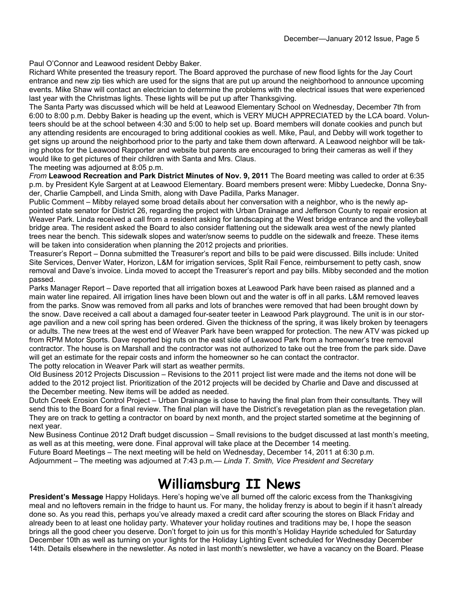Paul O'Connor and Leawood resident Debby Baker.

Richard White presented the treasury report. The Board approved the purchase of new flood lights for the Jay Court entrance and new zip ties which are used for the signs that are put up around the neighborhood to announce upcoming events. Mike Shaw will contact an electrician to determine the problems with the electrical issues that were experienced last year with the Christmas lights. These lights will be put up after Thanksgiving.

The Santa Party was discussed which will be held at Leawood Elementary School on Wednesday, December 7th from 6:00 to 8:00 p.m. Debby Baker is heading up the event, which is VERY MUCH APPRECIATED by the LCA board. Volunteers should be at the school between 4:30 and 5:00 to help set up. Board members will donate cookies and punch but any attending residents are encouraged to bring additional cookies as well. Mike, Paul, and Debby will work together to get signs up around the neighborhood prior to the party and take them down afterward. A Leawood neighbor will be taking photos for the Leawood Rapporter and website but parents are encouraged to bring their cameras as well if they would like to get pictures of their children with Santa and Mrs. Claus.

The meeting was adjourned at 8:05 p.m.

*From* **Leawood Recreation and Park District Minutes of Nov. 9, 2011** The Board meeting was called to order at 6:35 p.m. by President Kyle Sargent at at Leawood Elementary. Board members present were: Mibby Luedecke, Donna Snyder, Charlie Campbell, and Linda Smith, along with Dave Padilla, Parks Manager.

Public Comment – Mibby relayed some broad details about her conversation with a neighbor, who is the newly appointed state senator for District 26, regarding the project with Urban Drainage and Jefferson County to repair erosion at Weaver Park. Linda received a call from a resident asking for landscaping at the West bridge entrance and the volleyball bridge area. The resident asked the Board to also consider flattening out the sidewalk area west of the newly planted trees near the bench. This sidewalk slopes and water/snow seems to puddle on the sidewalk and freeze. These items will be taken into consideration when planning the 2012 projects and priorities.

Treasurer's Report – Donna submitted the Treasurer's report and bills to be paid were discussed. Bills include: United Site Services, Denver Water, Horizon, L&M for irrigation services, Split Rail Fence, reimbursement to petty cash, snow removal and Dave's invoice. Linda moved to accept the Treasurer's report and pay bills. Mibby seconded and the motion passed.

Parks Manager Report – Dave reported that all irrigation boxes at Leawood Park have been raised as planned and a main water line repaired. All irrigation lines have been blown out and the water is off in all parks. L&M removed leaves from the parks. Snow was removed from all parks and lots of branches were removed that had been brought down by the snow. Dave received a call about a damaged four-seater teeter in Leawood Park playground. The unit is in our storage pavilion and a new coil spring has been ordered. Given the thickness of the spring, it was likely broken by teenagers or adults. The new trees at the west end of Weaver Park have been wrapped for protection. The new ATV was picked up from RPM Motor Sports. Dave reported big ruts on the east side of Leawood Park from a homeowner's tree removal contractor. The house is on Marshall and the contractor was not authorized to take out the tree from the park side. Dave will get an estimate for the repair costs and inform the homeowner so he can contact the contractor. The potty relocation in Weaver Park will start as weather permits.

Old Business 2012 Projects Discussion – Revisions to the 2011 project list were made and the items not done will be added to the 2012 project list. Prioritization of the 2012 projects will be decided by Charlie and Dave and discussed at the December meeting. New items will be added as needed.

Dutch Creek Erosion Control Project – Urban Drainage is close to having the final plan from their consultants. They will send this to the Board for a final review. The final plan will have the District's revegetation plan as the revegetation plan. They are on track to getting a contractor on board by next month, and the project started sometime at the beginning of next year.

New Business Continue 2012 Draft budget discussion – Small revisions to the budget discussed at last month's meeting, as well as at this meeting, were done. Final approval will take place at the December 14 meeting.

Future Board Meetings – The next meeting will be held on Wednesday, December 14, 2011 at 6:30 p.m.

Adjournment – The meeting was adjourned at 7:43 p.m*.— Linda T. Smith, Vice President and Secretary*

### **Williamsburg II News**

**President's Message** Happy Holidays. Here's hoping we've all burned off the caloric excess from the Thanksgiving meal and no leftovers remain in the fridge to haunt us. For many, the holiday frenzy is about to begin if it hasn't already done so. As you read this, perhaps you've already maxed a credit card after scouring the stores on Black Friday and already been to at least one holiday party. Whatever your holiday routines and traditions may be, I hope the season brings all the good cheer you deserve. Don't forget to join us for this month's Holiday Hayride scheduled for Saturday December 10th as well as turning on your lights for the Holiday Lighting Event scheduled for Wednesday December 14th. Details elsewhere in the newsletter. As noted in last month's newsletter, we have a vacancy on the Board. Please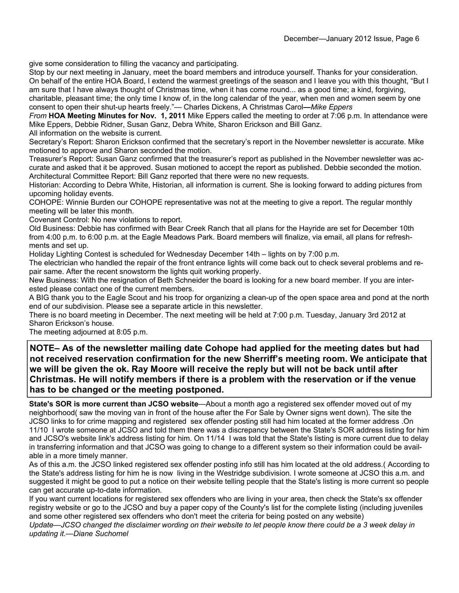give some consideration to filling the vacancy and participating.

Stop by our next meeting in January, meet the board members and introduce yourself. Thanks for your consideration. On behalf of the entire HOA Board, I extend the warmest greetings of the season and I leave you with this thought, "But I am sure that I have always thought of Christmas time, when it has come round... as a good time; a kind, forgiving, charitable, pleasant time; the only time I know of, in the long calendar of the year, when men and women seem by one consent to open their shut-up hearts freely."— Charles Dickens, A Christmas Carol**—***Mike Eppers* 

*From* **HOA Meeting Minutes for Nov. 1, 2011** Mike Eppers called the meeting to order at 7:06 p.m. In attendance were Mike Eppers, Debbie Ridner, Susan Ganz, Debra White, Sharon Erickson and Bill Ganz.

All information on the website is current.

Secretary's Report: Sharon Erickson confirmed that the secretary's report in the November newsletter is accurate. Mike motioned to approve and Sharon seconded the motion.

Treasurer's Report: Susan Ganz confirmed that the treasurer's report as published in the November newsletter was accurate and asked that it be approved. Susan motioned to accept the report as published. Debbie seconded the motion. Architectural Committee Report: Bill Ganz reported that there were no new requests.

Historian: According to Debra White, Historian, all information is current. She is looking forward to adding pictures from upcoming holiday events.

COHOPE: Winnie Burden our COHOPE representative was not at the meeting to give a report. The regular monthly meeting will be later this month.

Covenant Control: No new violations to report.

Old Business: Debbie has confirmed with Bear Creek Ranch that all plans for the Hayride are set for December 10th from 4:00 p.m. to 6:00 p.m. at the Eagle Meadows Park. Board members will finalize, via email, all plans for refreshments and set up.

Holiday Lighting Contest is scheduled for Wednesday December 14th – lights on by 7:00 p.m.

The electrician who handled the repair of the front entrance lights will come back out to check several problems and repair same. After the recent snowstorm the lights quit working properly.

New Business: With the resignation of Beth Schneider the board is looking for a new board member. If you are interested please contact one of the current members.

A BIG thank you to the Eagle Scout and his troop for organizing a clean-up of the open space area and pond at the north end of our subdivision. Please see a separate article in this newsletter.

There is no board meeting in December. The next meeting will be held at 7:00 p.m. Tuesday, January 3rd 2012 at Sharon Erickson's house.

The meeting adjourned at 8:05 p.m.

**NOTE– As of the newsletter mailing date Cohope had applied for the meeting dates but had not received reservation confirmation for the new Sherriff's meeting room. We anticipate that we will be given the ok. Ray Moore will receive the reply but will not be back until after Christmas. He will notify members if there is a problem with the reservation or if the venue has to be changed or the meeting postponed.** 

**State's SOR is more current than JCSO website**—About a month ago a registered sex offender moved out of my neighborhood( saw the moving van in front of the house after the For Sale by Owner signs went down). The site the JCSO links to for crime mapping and registered sex offender posting still had him located at the former address .On 11/10 I wrote someone at JCSO and told them there was a discrepancy between the State's SOR address listing for him and JCSO's website link's address listing for him. On 11/14 I was told that the State's listing is more current due to delay in transferring information and that JCSO was going to change to a different system so their information could be available in a more timely manner.

As of this a.m. the JCSO linked registered sex offender posting info still has him located at the old address.( According to the State's address listing for him he is now living in the Westridge subdivision. I wrote someone at JCSO this a.m. and suggested it might be good to put a notice on their website telling people that the State's listing is more current so people can get accurate up-to-date information.

If you want current locations for registered sex offenders who are living in your area, then check the State's sx offender registry website or go to the JCSO and buy a paper copy of the County's list for the complete listing (including juveniles and some other registered sex offenders who don't meet the criteria for being posted on any website)

*Update—JCSO changed the disclaimer wording on their website to let people know there could be a 3 week delay in updating it.—Diane Suchomel*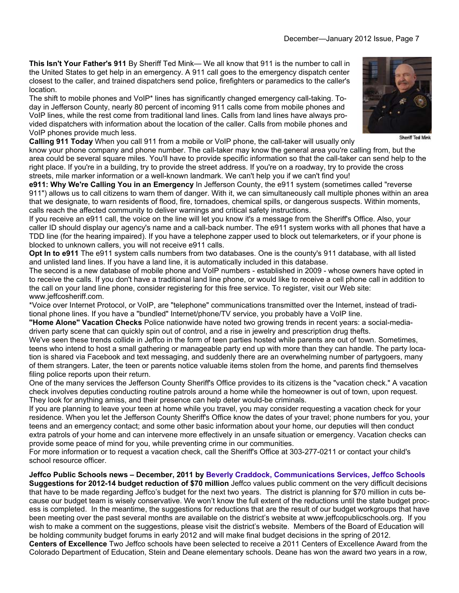**This Isn't Your Father's 911** By Sheriff Ted Mink— We all know that 911 is the number to call in the United States to get help in an emergency. A 911 call goes to the emergency dispatch center closest to the caller, and trained dispatchers send police, firefighters or paramedics to the caller's location.

The shift to mobile phones and VoIP\* lines has significantly changed emergency call-taking. Today in Jefferson County, nearly 80 percent of incoming 911 calls come from mobile phones and VoIP lines, while the rest come from traditional land lines. Calls from land lines have always provided dispatchers with information about the location of the caller. Calls from mobile phones and VoIP phones provide much less.

**Calling 911 Today** When you call 911 from a mobile or VoIP phone, the call-taker will usually only

know your phone company and phone number. The call-taker may know the general area you're calling from, but the area could be several square miles. You'll have to provide specific information so that the call-taker can send help to the right place. If you're in a building, try to provide the street address. If you're on a roadway, try to provide the cross streets, mile marker information or a well-known landmark. We can't help you if we can't find you!

**e911: Why We're Calling You in an Emergency** In Jefferson County, the e911 system (sometimes called "reverse 911") allows us to call citizens to warn them of danger. With it, we can simultaneously call multiple phones within an area that we designate, to warn residents of flood, fire, tornadoes, chemical spills, or dangerous suspects. Within moments, calls reach the affected community to deliver warnings and critical safety instructions.

If you receive an e911 call, the voice on the line will let you know it's a message from the Sheriff's Office. Also, your caller ID should display our agency's name and a call-back number. The e911 system works with all phones that have a TDD line (for the hearing impaired). If you have a telephone zapper used to block out telemarketers, or if your phone is blocked to unknown callers, you will not receive e911 calls.

**Opt In to e911** The e911 system calls numbers from two databases. One is the county's 911 database, with all listed and unlisted land lines. If you have a land line, it is automatically included in this database.

The second is a new database of mobile phone and VoIP numbers - established in 2009 - whose owners have opted in to receive the calls. If you don't have a traditional land line phone, or would like to receive a cell phone call in addition to the call on your land line phone, consider registering for this free service. To register, visit our Web site: www.jeffcosheriff.com.

\*Voice over Internet Protocol, or VoIP, are "telephone" communications transmitted over the Internet, instead of traditional phone lines. If you have a "bundled" Internet/phone/TV service, you probably have a VoIP line.

**"Home Alone" Vacation Checks** Police nationwide have noted two growing trends in recent years: a social-mediadriven party scene that can quickly spin out of control, and a rise in jewelry and prescription drug thefts.

We've seen these trends collide in Jeffco in the form of teen parties hosted while parents are out of town. Sometimes, teens who intend to host a small gathering or manageable party end up with more than they can handle. The party location is shared via Facebook and text messaging, and suddenly there are an overwhelming number of partygoers, many of them strangers. Later, the teen or parents notice valuable items stolen from the home, and parents find themselves filing police reports upon their return.

One of the many services the Jefferson County Sheriff's Office provides to its citizens is the "vacation check." A vacation check involves deputies conducting routine patrols around a home while the homeowner is out of town, upon request. They look for anything amiss, and their presence can help deter would-be criminals.

If you are planning to leave your teen at home while you travel, you may consider requesting a vacation check for your residence. When you let the Jefferson County Sheriff's Office know the dates of your travel; phone numbers for you, your teens and an emergency contact; and some other basic information about your home, our deputies will then conduct extra patrols of your home and can intervene more effectively in an unsafe situation or emergency. Vacation checks can provide some peace of mind for you, while preventing crime in our communities.

For more information or to request a vacation check, call the Sheriff's Office at 303-277-0211 or contact your child's school resource officer.

**Jeffco Public Schools news – December, 2011 by Beverly Craddock, Communications Services, Jeffco Schools Suggestions for 2012-14 budget reduction of \$70 million** Jeffco values public comment on the very difficult decisions that have to be made regarding Jeffco's budget for the next two years. The district is planning for \$70 million in cuts because our budget team is wisely conservative. We won't know the full extent of the reductions until the state budget process is completed. In the meantime, the suggestions for reductions that are the result of our budget workgroups that have been meeting over the past several months are available on the district's website at www.jeffcopublicschools.org. If you wish to make a comment on the suggestions, please visit the district's website. Members of the Board of Education will be holding community budget forums in early 2012 and will make final budget decisions in the spring of 2012.

**Centers of Excellence** Two Jeffco schools have been selected to receive a 2011 Centers of Excellence Award from the Colorado Department of Education, Stein and Deane elementary schools. Deane has won the award two years in a row,



Sheriff Ted Mink